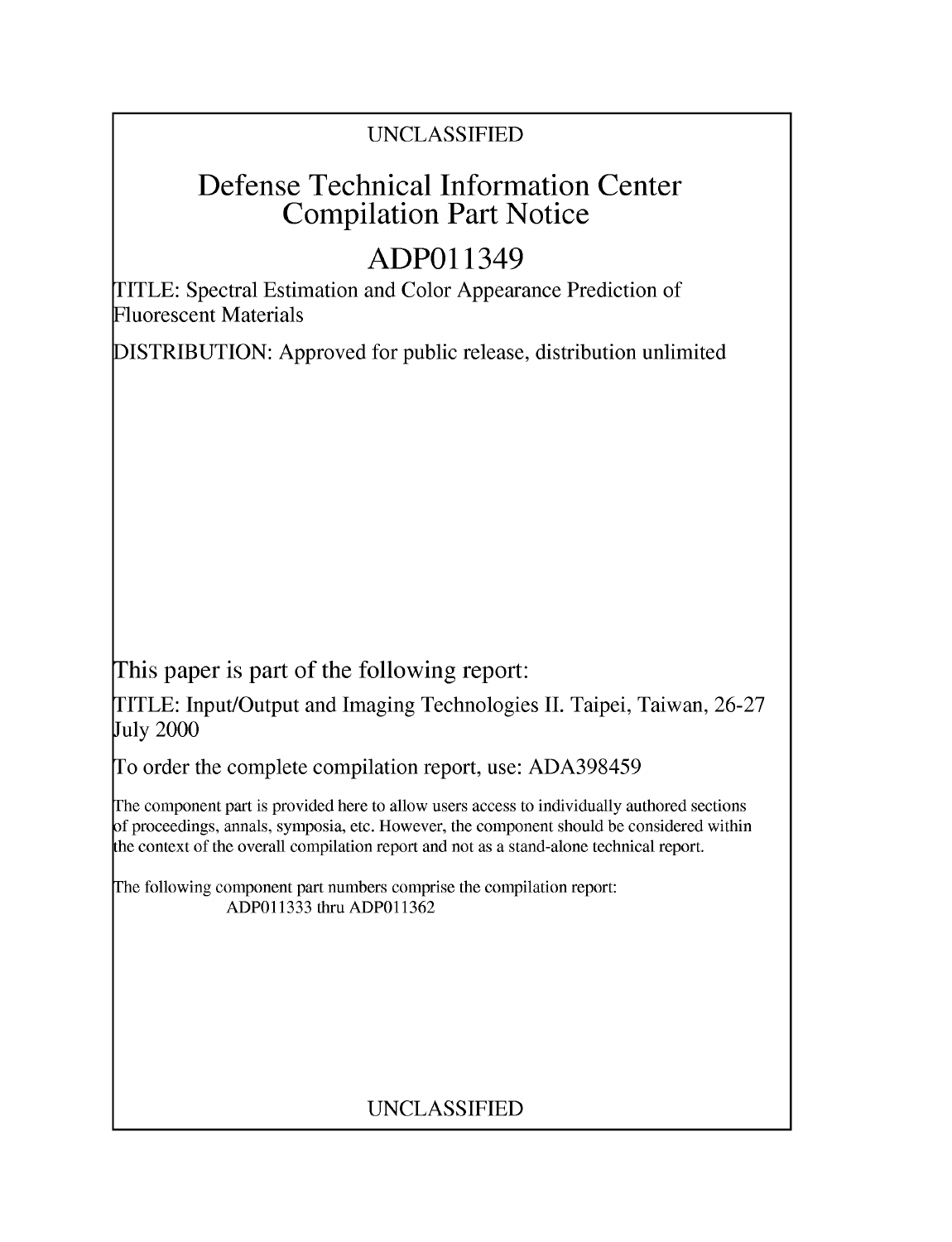# UNCLASSIFIED

# Defense Technical Information Center Compilation Part Notice

# **ADPO** 11349

TITLE: Spectral Estimation and Color Appearance Prediction of Fluorescent Materials

DISTRIBUTION: Approved for public release, distribution unlimited

This paper is part of the following report:

TITLE: Input/Output and Imaging Technologies II. Taipei, Taiwan, 26-27 July 2000

To order the complete compilation report, use: ADA398459

The component part is provided here to allow users access to individually authored sections f proceedings, annals, symposia, etc. However, the component should be considered within [he context of the overall compilation report and not as a stand-alone technical report.

The following component part numbers comprise the compilation report: ADP011333 thru ADP011362

# UNCLASSIFIED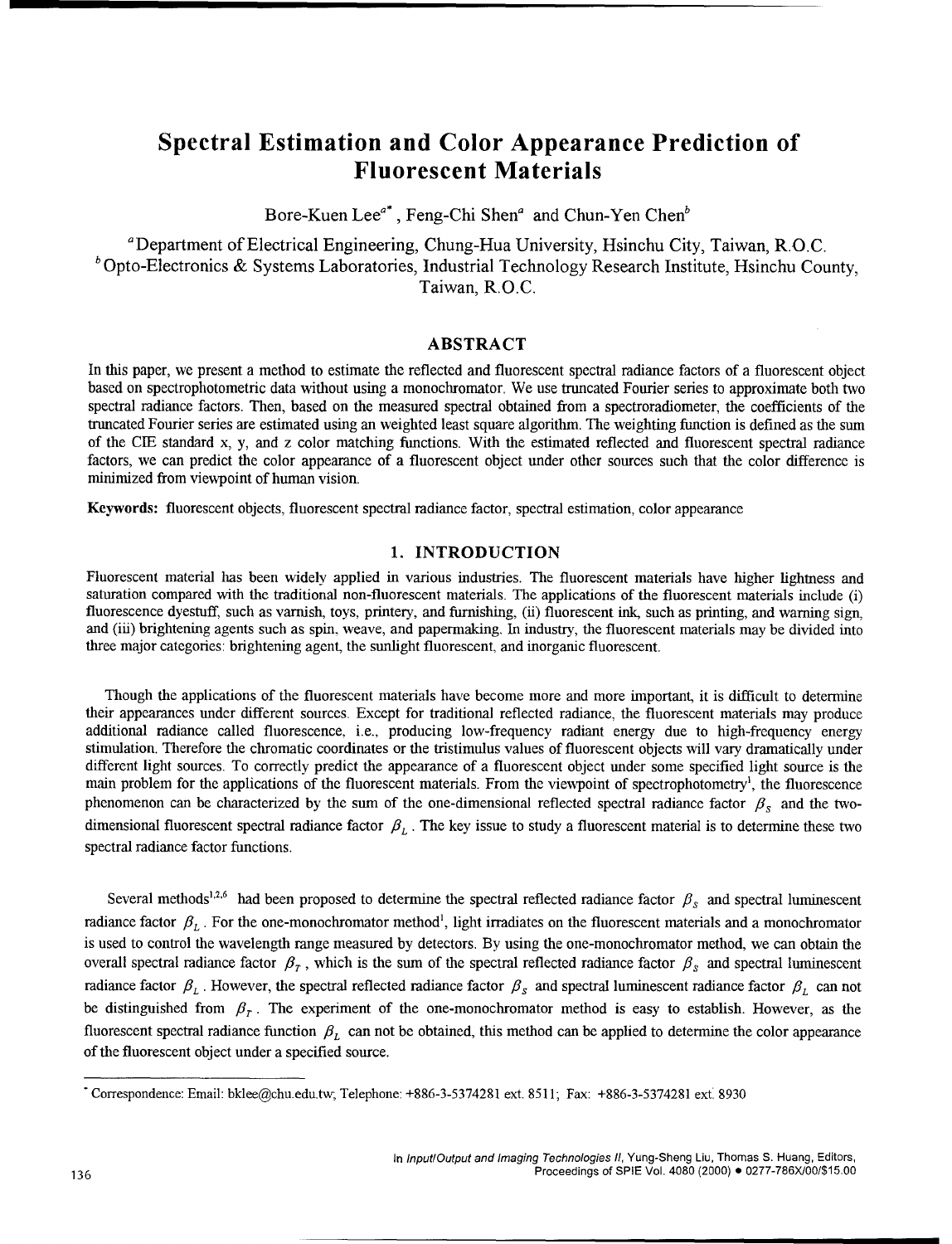# Spectral Estimation and Color Appearance Prediction of Fluorescent Materials

Bore-Kuen Lee<sup>a\*</sup>, Feng-Chi Shen<sup>a</sup> and Chun-Yen Chen<sup>b</sup>

'Department of Electrical Engineering, Chung-Hua University, Hsinchu City, Taiwan, R.O.C. *b* Opto-Electronics & Systems Laboratories, Industrial Technology Research Institute, Hsinchu County, Taiwan, R.O.C.

### ABSTRACT

In this paper, we present a method to estimate the reflected and fluorescent spectral radiance factors of a fluorescent object based on spectrophotometric data without using a monochromator. We use truncated Fourier series to approximate both two spectral radiance factors. Then, based on the measured spectral obtained from a spectroradiometer, the coefficients of the truncated Fourier series are estimated using an weighted least square algorithm. The weighting function is defined as the sum of the CIE standard x, y, and z color matching functions. With the estimated reflected and fluorescent spectral radiance factors, we can predict the color appearance of a fluorescent object under other sources such that the color difference is minimized from viewpoint of human vision.

Keywords: fluorescent objects, fluorescent spectral radiance factor, spectral estimation, color appearance

#### 1. **INTRODUCTION**

Fluorescent material has been widely applied in various industries. The fluorescent materials have higher lightness and saturation compared with the traditional non-fluorescent materials. The applications of the fluorescent materials include (i) fluorescence dyestuff, such as varnish, toys, printery, and furnishing, (ii) fluorescent ink, such as printing, and warning sign, and (iii) brightening agents such as spin, weave, and papermaking, In industry, the fluorescent materials may be divided into three major categories: brightening agent, the sunlight fluorescent, and inorganic fluorescent.

Though the applications of the fluorescent materials have become more and more important, it is difficult to determine their appearances under different sources. Except for traditional reflected radiance, the fluorescent materials may produce additional radiance called fluorescence, i.e., producing low-frequency radiant energy due to high-frequency energy stimulation. Therefore the chromatic coordinates or the tristimulus values of fluorescent objects will vary dramatically under different light sources. To correctly predict the appearance of a fluorescent object under some specified light source is the main problem for the applications of the fluorescent materials. From the viewpoint of spectrophotometry<sup>1</sup>, the fluorescence phenomenon can be characterized by the sum of the one-dimensional reflected spectral radiance factor  $\beta_s$  and the twodimensional fluorescent spectral radiance factor  $\beta_L$ . The key issue to study a fluorescent material is to determine these two spectral radiance factor functions.

Several methods<sup>1,2,6</sup> had been proposed to determine the spectral reflected radiance factor  $\beta_s$  and spectral luminescent radiance factor  $\beta_L$ . For the one-monochromator method<sup>1</sup>, light irradiates on the fluorescent materials and a monochromator is used to control the wavelength range measured by detectors. By using the one-monochromator method, we can obtain the overall spectral radiance factor  $\beta<sub>r</sub>$ , which is the sum of the spectral reflected radiance factor  $\beta<sub>s</sub>$  and spectral luminescent radiance factor  $\beta_L$ . However, the spectral reflected radiance factor  $\beta_s$  and spectral luminescent radiance factor  $\beta_L$  can not be distinguished from  $\beta$ <sub>r</sub>. The experiment of the one-monochromator method is easy to establish. However, as the fluorescent spectral radiance function  $\beta_L$  can not be obtained, this method can be applied to determine the color appearance of the fluorescent object under a specified source.

<sup>&</sup>quot;Correspondence: Email: bklee@chu.edu.tw, Telephone: +886-3-5374281 ext. 8511; Fax: +886-3-5374281 ext. 8930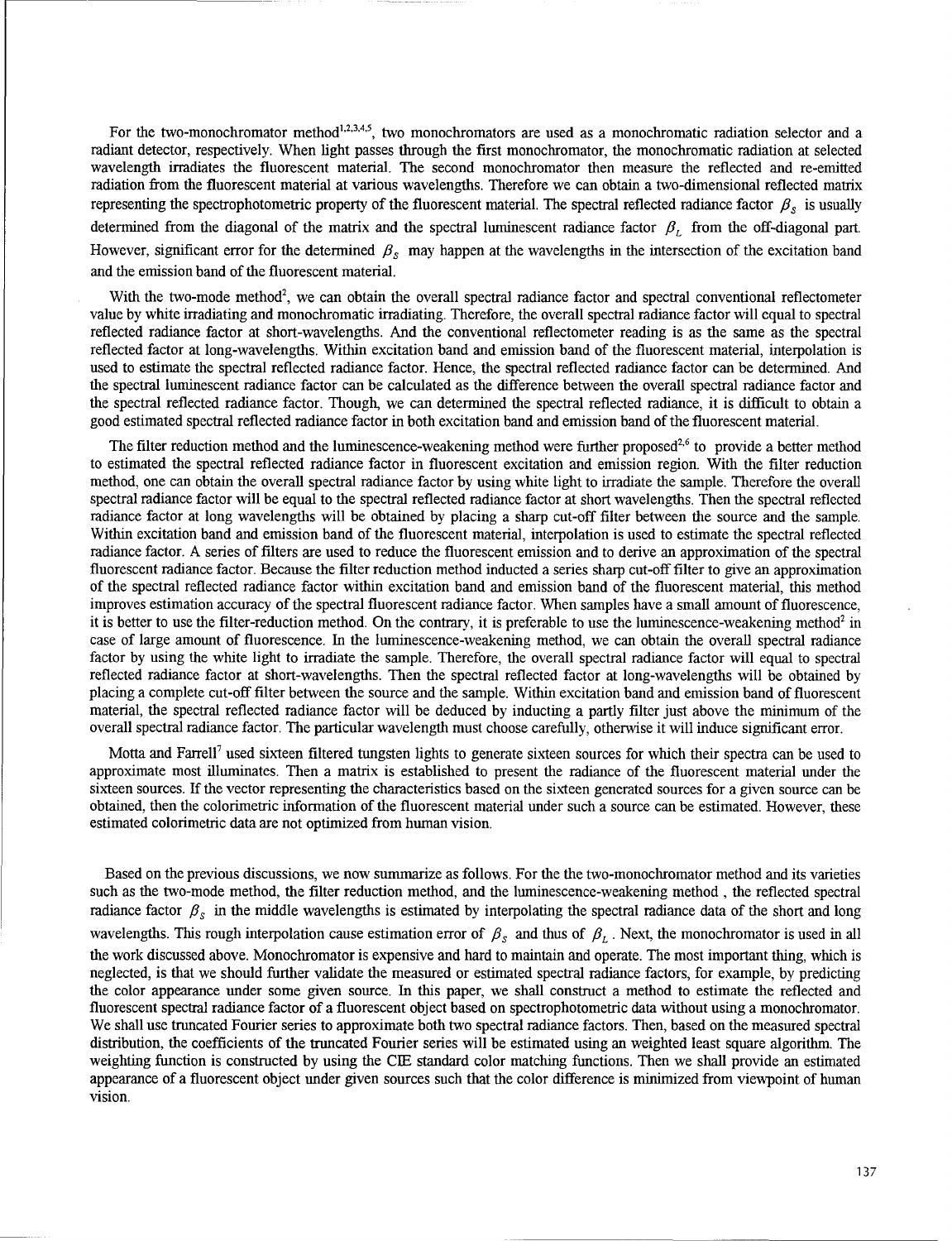For the two-monochromator method<sup>1,2,3,4,5</sup>, two monochromators are used as a monochromatic radiation selector and a radiant detector, respectively. When light passes through the first monochromator, the monochromatic radiation at selected wavelength irradiates the fluorescent material. The second monochromator then measure the reflected and re-emitted radiation from the fluorescent material at various wavelengths. Therefore we can obtain a two-dimensional reflected matrix representing the spectrophotometric property of the fluorescent material. The spectral reflected radiance factor  $\beta_s$  is usually determined from the diagonal of the matrix and the spectral luminescent radiance factor  $\beta$ , from the off-diagonal part. However, significant error for the determined  $\beta_s$  may happen at the wavelengths in the intersection of the excitation band and the emission band of the fluorescent material.

With the two-mode method<sup>2</sup>, we can obtain the overall spectral radiance factor and spectral conventional reflectometer value by white irradiating and monochromatic irradiating. Therefore, the overall spectral radiance factor will equal to spectral reflected radiance factor at short-wavelengths. And the conventional reflectometer reading is as the same as the spectral reflected factor at long-wavelengths. Within excitation band and emission band of the fluorescent material, interpolation is used to estimate the spectral reflected radiance factor. Hence, the spectral reflected radiance factor can be determined. And the spectral luminescent radiance factor can be calculated as the difference between the overall spectral radiance factor and the spectral reflected radiance factor. Though, we can determined the spectral reflected radiance, it is difficult to obtain a good estimated spectral reflected radiance factor in both excitation band and emission band of the fluorescent material.

The filter reduction method and the luminescence-weakening method were further proposed<sup>2,6</sup> to provide a better method to estimated the spectral reflected radiance factor in fluorescent excitation and emission region. With the filter reduction method, one can obtain the overall spectral radiance factor by using white light to irradiate the sample. Therefore the overall spectral radiance factor will be equal to the spectral reflected radiance factor at short wavelengths. Then the spectral reflected radiance factor at long wavelengths will be obtained by placing a sharp cut-off filter between the source and the sample. Within excitation band and emission band of the fluorescent material, interpolation is used to estimate the spectral reflected radiance factor. A series of filters are used to reduce the fluorescent emission and to derive an approximation of the spectral fluorescent radiance factor. Because the filter reduction method inducted a series sharp cut-off filter to give an approximation of the spectral reflected radiance factor within excitation band and emission band of the fluorescent material, this method improves estimation accuracy of the spectral fluorescent radiance factor. When samples have a small amount of fluorescence, it is better to use the filter-reduction method. On the contrary, it is preferable to use the luminescence-weakening method<sup>2</sup> in case of large amount of fluorescence. In the luminescence-weakening method, we can obtain the overall spectral radiance factor by using the white light to irradiate the sample. Therefore, the overall spectral radiance factor will equal to spectral reflected radiance factor at short-wavelengths. Then the spectral reflected factor at long-wavelengths will be obtained by placing a complete cut-off filter between the source and the sample. Within excitation band and emission band of fluorescent material, the spectral reflected radiance factor will be deduced by inducting a partly filter just above the minimum of the overall spectral radiance factor. The particular wavelength must choose carefully, otherwise it will induce significant error.

Motta and Farrell7 used sixteen filtered tungsten lights to generate sixteen sources for which their spectra can be used to approximate most illuminates. Then a matrix is established to present the radiance of the fluorescent material under the sixteen sources. If the vector representing the characteristics based on the sixteen generated sources for a given source can be obtained, then the colorimetric information of the fluorescent material under such a source can be estimated. However, these estimated colorimetric data are not optimized from human vision.

Based on the previous discussions, we now summarize as follows. For the the two-monochromator method and its varieties such as the two-mode method, the filter reduction method, and the luminescence-weakening method, the reflected spectral radiance factor  $\beta_s$  in the middle wavelengths is estimated by interpolating the spectral radiance data of the short and long wavelengths. This rough interpolation cause estimation error of  $\beta_s$  and thus of  $\beta_L$ . Next, the monochromator is used in all the work discussed above. Monochromator is expensive and hard to maintain and operate. The most important thing, which is neglected, is that we should further validate the measured or estimated spectral radiance factors, for example, by predicting the color appearance under some given source. In this paper, we shall construct a method to estimate the reflected and fluorescent spectral radiance factor of a fluorescent object based on spectrophotometric data without using a monochromator. We shall use truncated Fourier series to approximate both two spectral radiance factors. Then, based on the measured spectral distribution, the coefficients of the trnmcated Fourier series will be estimated using an weighted least square algorithm. The weighting function is constructed by using the CIE standard color matching functions. Then we shall provide an estimated appearance of a fluorescent object under given sources such that the color difference is minimized from viewpoint of human vision.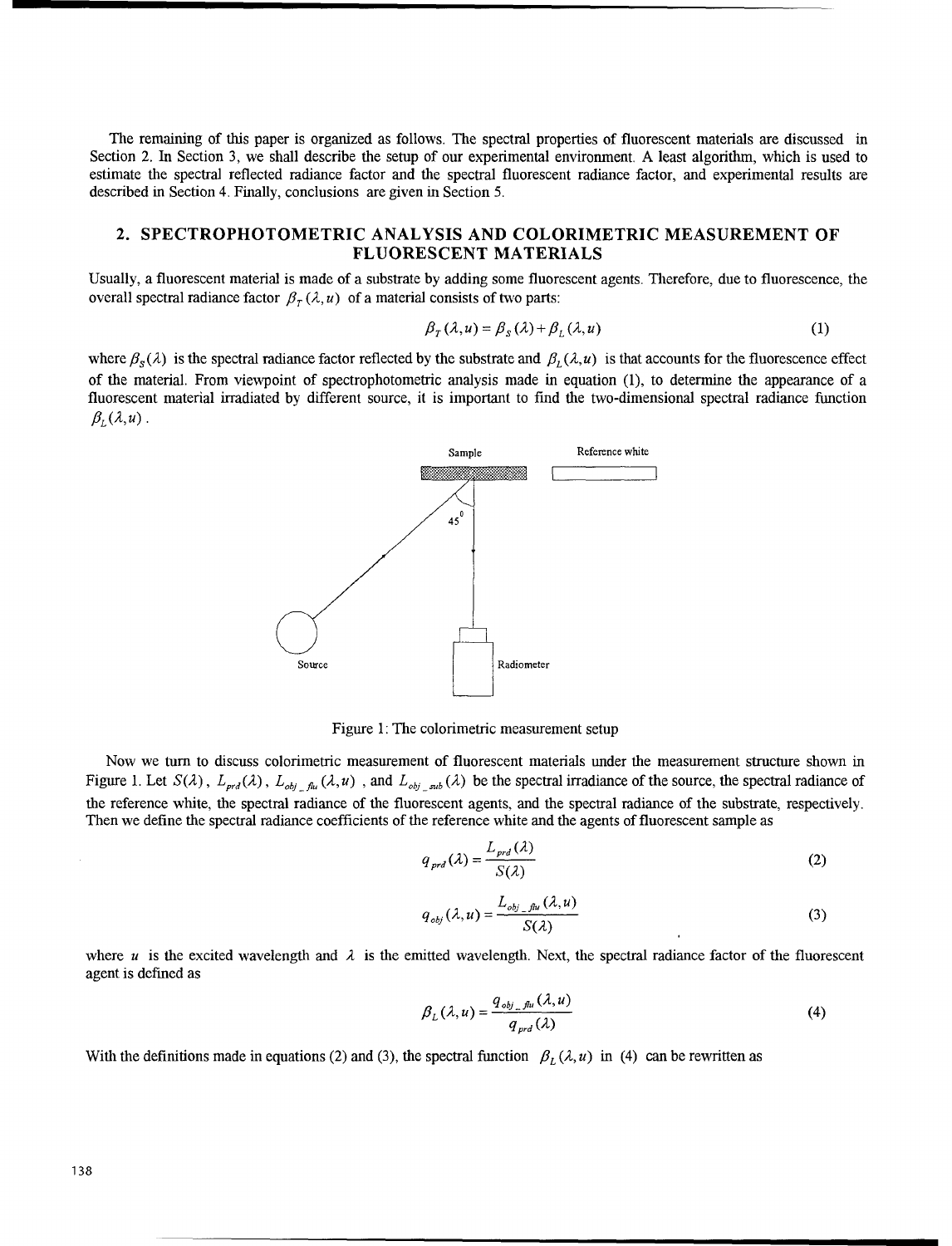The remaining of this paper is organized as follows. The spectral properties of fluorescent materials are discussed in Section 2. In Section 3, we shall describe the setup of our experimental environment. A least algorithm, which is used to estimate the spectral reflected radiance factor and the spectral fluorescent radiance factor, and experimental results are described in Section 4. Finally, conclusions are given in Section 5.

## 2. SPECTROPHOTOMETRIC **ANALYSIS AND** COLORIMETRIC **MEASUREMENT** OF **FLUORESCENT** MATERIALS

Usually, a fluorescent material is made of a substrate by adding some fluorescent agents. Therefore, due to fluorescence, the overall spectral radiance factor  $\beta_T(\lambda, u)$  of a material consists of two parts:

$$
\beta_{T}(\lambda, u) = \beta_{S}(\lambda) + \beta_{L}(\lambda, u)
$$
\n(1)

where  $\beta_s(\lambda)$  is the spectral radiance factor reflected by the substrate and  $\beta_t(\lambda, u)$  is that accounts for the fluorescence effect of the material. From viewpoint of spectrophotometric analysis made in equation (1), to determine the appearance of a fluorescent material irradiated by different source, it is important to find the two-dimensional spectral radiance function  $\beta_L(\lambda,u)$ .



Figure 1: The colorimetric measurement setup

Now we turn to discuss colorimetric measurement of fluorescent materials under the measurement structure shown in Figure 1. Let  $S(\lambda)$ ,  $L_{\text{prd}}(\lambda)$ ,  $L_{\text{obj\_flu}}(\lambda, u)$ , and  $L_{\text{obj\_sub}}(\lambda)$  be the spectral irradiance of the source, the spectral radiance of the reference white, the spectral radiance of the fluorescent agents, and the spectral radiance of the substrate, respectively. Then we define the spectral radiance coefficients of the reference white and the agents of fluorescent sample as

$$
q_{\text{pred}}(\lambda) = \frac{L_{\text{pred}}(\lambda)}{S(\lambda)}\tag{2}
$$

$$
q_{\textit{obj}}(\lambda, u) = \frac{L_{\textit{obj\_flu}}(\lambda, u)}{S(\lambda)}
$$
\n(3)

where u is the excited wavelength and  $\lambda$  is the emitted wavelength. Next, the spectral radiance factor of the fluorescent agent is defined as

$$
\beta_L(\lambda, u) = \frac{q_{obj\_flu}(\lambda, u)}{q_{prd}(\lambda)}
$$
\n(4)

With the definitions made in equations (2) and (3), the spectral function  $\beta_L(\lambda, u)$  in (4) can be rewritten as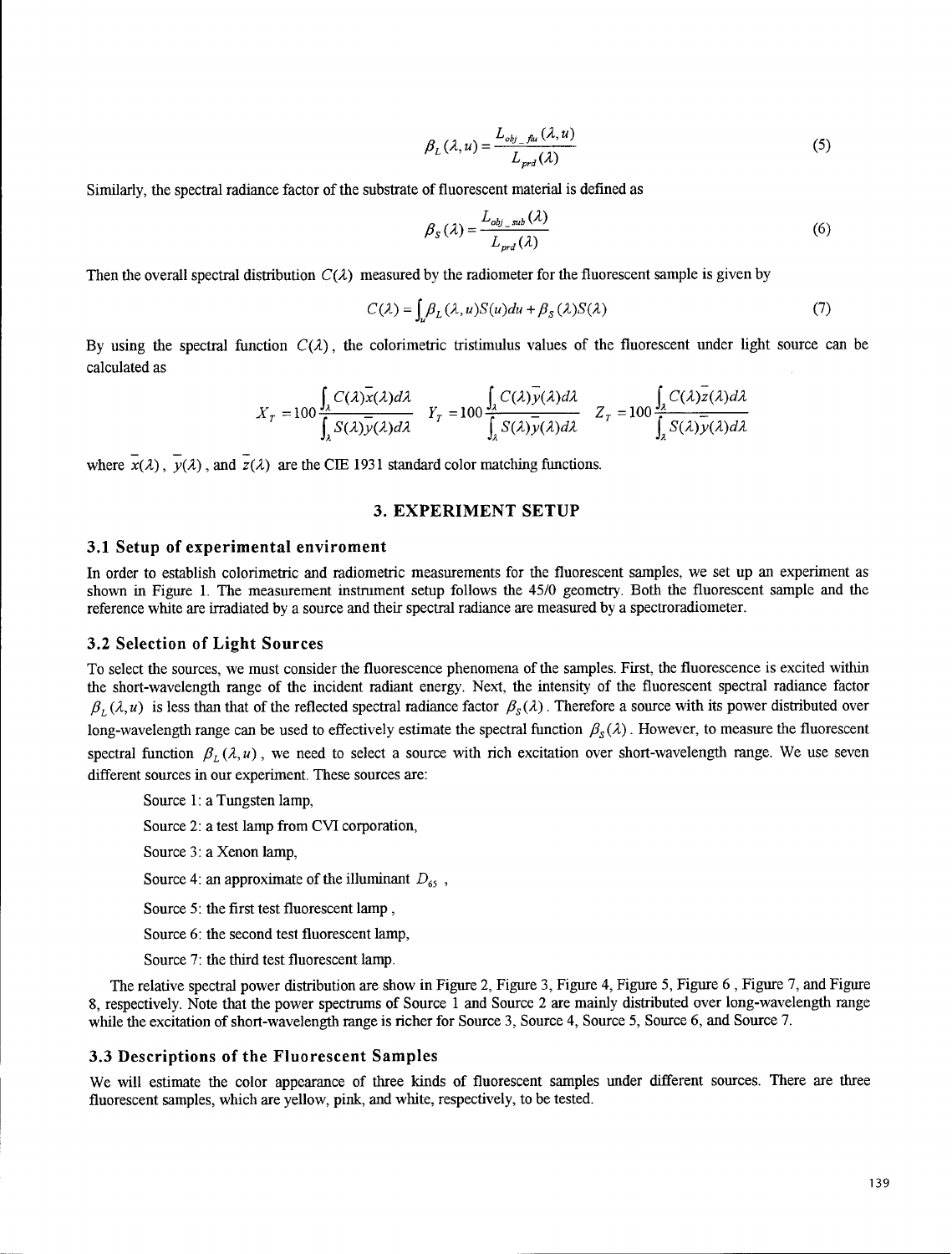$$
\beta_L(\lambda, u) = \frac{L_{obj\_flu}(\lambda, u)}{L_{ord}(\lambda)}
$$
\n(5)

Similarly, the spectral radiance factor of the substrate of fluorescent material is defined as

$$
\beta_{S}(\lambda) = \frac{L_{obj\_sub}(\lambda)}{L_{prd}(\lambda)}
$$
\n(6)

Then the overall spectral distribution  $C(\lambda)$  measured by the radiometer for the fluorescent sample is given by

$$
C(\lambda) = \int_{\nu} \beta_L(\lambda, u) S(u) du + \beta_S(\lambda) S(\lambda)
$$
\n(7)

By using the spectral function  $C(\lambda)$ , the colorimetric tristimulus values of the fluorescent under light source can be calculated as

$$
X_T = 100 \frac{\int_{\lambda} C(\lambda) \overline{x}(\lambda) d\lambda}{\int_{\lambda} S(\lambda) \overline{y}(\lambda) d\lambda} \quad Y_T = 100 \frac{\int_{\lambda} C(\lambda) \overline{y}(\lambda) d\lambda}{\int_{\lambda} S(\lambda) \overline{y}(\lambda) d\lambda} \quad Z_T = 100 \frac{\int_{\lambda} C(\lambda) \overline{z}(\lambda) d\lambda}{\int_{\lambda} S(\lambda) \overline{y}(\lambda) d\lambda}
$$

where  $\overline{x}(\lambda)$ ,  $\overline{y}(\lambda)$ , and  $\overline{z}(\lambda)$  are the CIE 1931 standard color matching functions.

#### **3.** EXPERIMENT **SETUP**

#### **3.1** Setup of experimental enviroment

In order to establish colorimetric and radiometric measurements for the fluorescent samples, we set up an experiment as shown in Figure 1. The measurement instrument setup follows the 45/0 geometry. Both the fluorescent sample and the reference white are irradiated by a source and their spectral radiance are measured by a spectroradiometer.

#### 3.2 Selection of Light Sources

To select the sources, we must consider the fluorescence phenomena of the samples. First, the fluorescence is excited within the short-wavelength range of the incident radiant energy. Next, the intensity of the fluorescent spectral radiance factor  $\beta_L(\lambda, u)$  is less than that of the reflected spectral radiance factor  $\beta_S(\lambda)$ . Therefore a source with its power distributed over long-wavelength range can be used to effectively estimate the spectral function  $\beta_s(\lambda)$ . However, to measure the fluorescent spectral function  $\beta_L(\lambda, u)$ , we need to select a source with rich excitation over short-wavelength range. We use seven different sources in our experiment. These sources are:

Source 1: a Tungsten lamp, Source 2: a test lamp from CVI corporation, Source 3: a Xenon lamp, Source 4: an approximate of the illuminant  $D_{65}$ ,

Source 5: the first test fluorescent lamp,

Source 6: the second test fluorescent lamp,

Source 7: the third test fluorescent lamp.

The relative spectral power distribution are show in Figure 2, Figure 3, Figure 4, Figure 5, Figure 6 , Figure 7, and Figure 8, respectively. Note that the power spectrums of Source 1 and Source 2 are mainly distributed over long-wavelength range while the excitation of short-wavelength range is richer for Source 3, Source 4, Source 5, Source **6,** and Source 7.

#### **3.3** Descriptions of the Fluorescent Samples

We will estimate the color appearance of three kinds of fluorescent samples under different sources. There are three fluorescent samples, which are yellow, pink, and white, respectively, to be tested.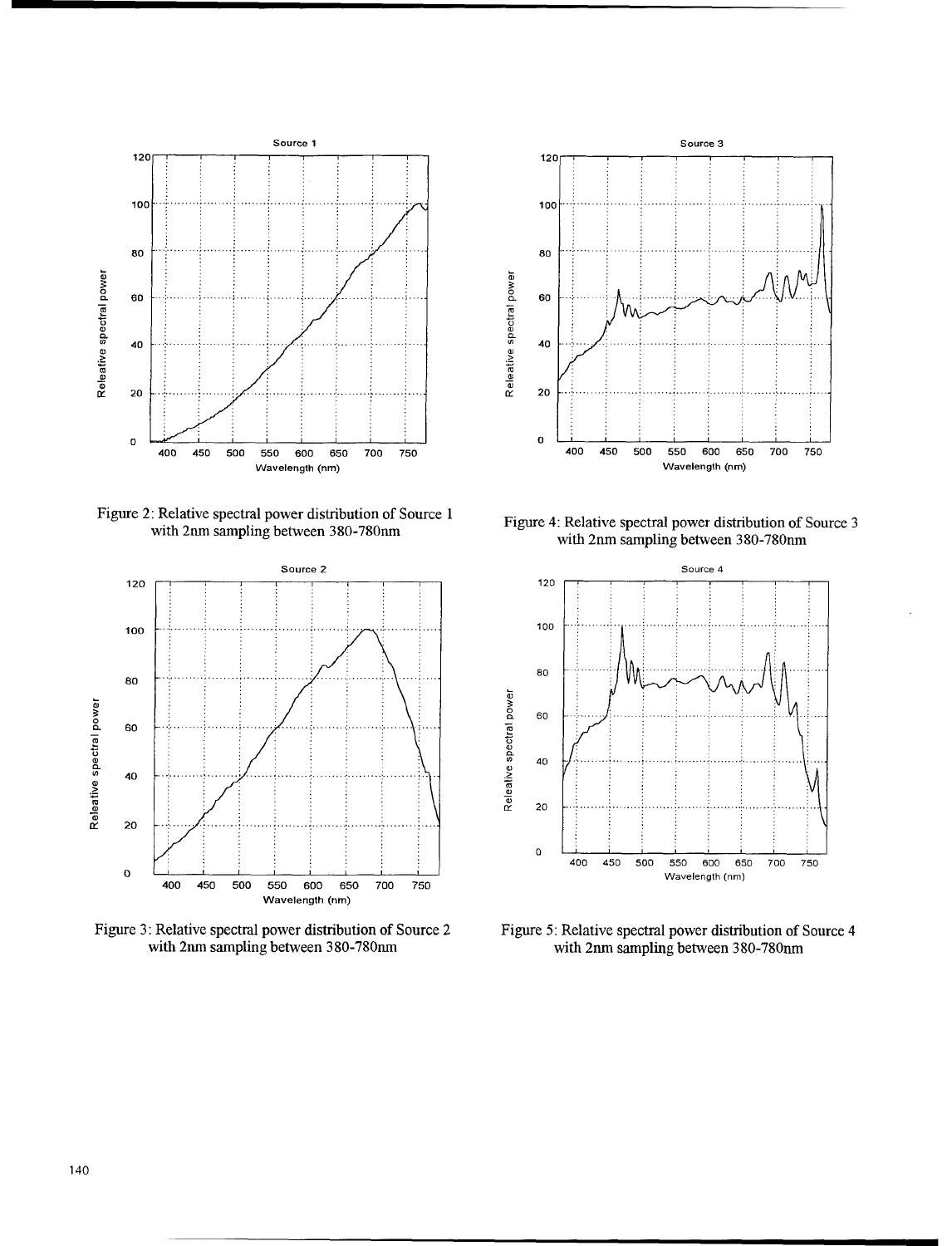

Figure 2: Relative spectral power distribution of Source 1 with 2nm sampling between 380-780nm



Figure 3: Relative spectral power distribution of Source 2 with 2nm sampling between 380-780nm



Figure 4: Relative spectral power distribution of Source 3 with 2nm sampling between 380-780nm



Figure 5: Relative spectral power distribution of Source 4 with 2nm sampling between 380-780nm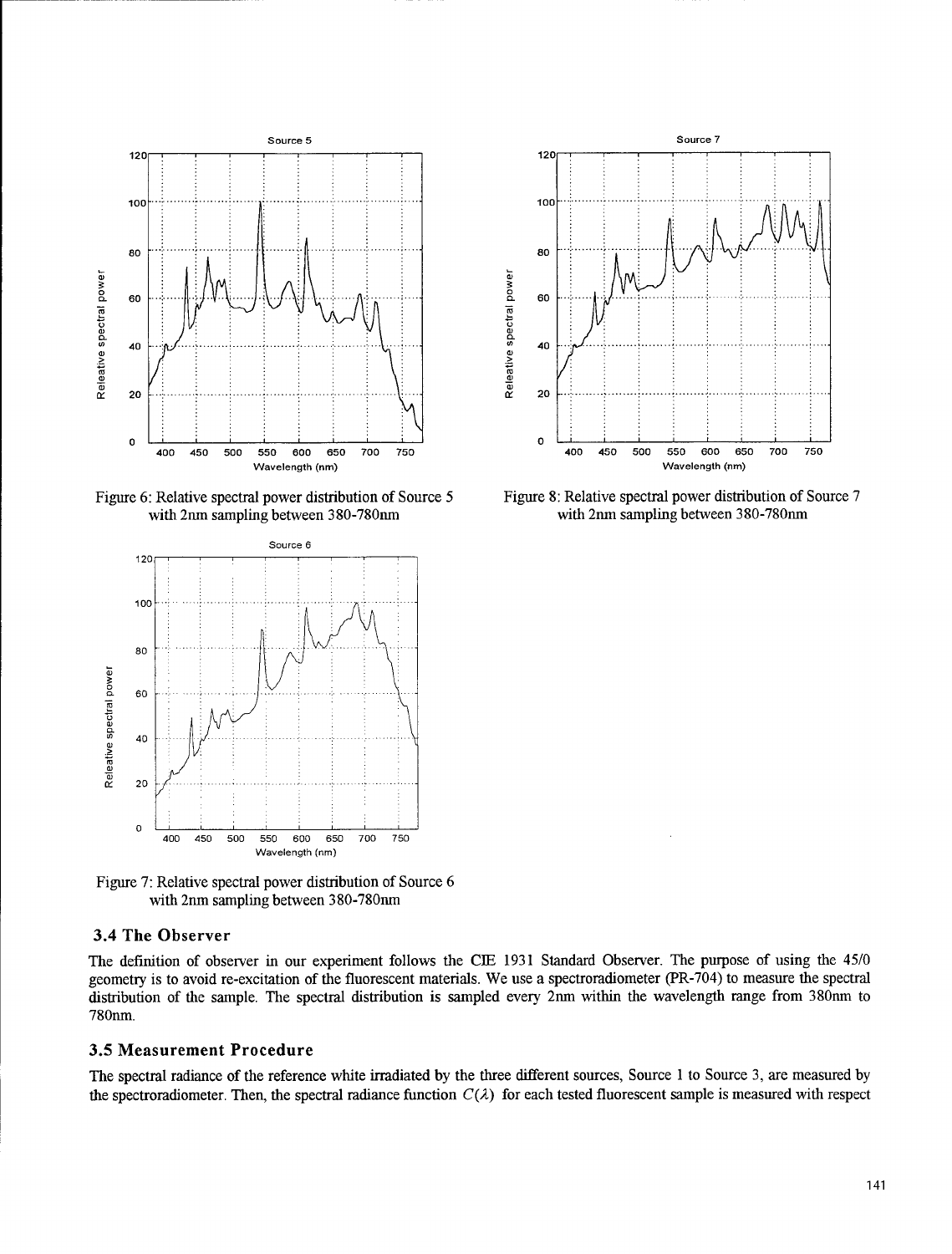

with 2nm sampling between 380-780nm



Figure 7: Relative spectral power distribution of Source 6 with 2nm sampling between 380-780nm

# 3.4 The Observer

The definition of observer in our experiment follows the **CIE** 1931 Standard Observer. The purpose of using the 45/0 geometry is to avoid re-excitation of the fluorescent materials. We use a spectroradiometer (PR-704) to measure the spectral distribution of the sample. The spectral distribution is sampled every 2am within the wavelength range from 380rnm to 780nm.

#### **3.5** Measurement Procedure

The spectral radiance of the reference white irradiated by the three different sources, Source 1 to Source 3, are measured by the spectroradiometer. Then, the spectral radiance function  $C(\lambda)$  for each tested fluorescent sample is measured with respect



Figure 6: Relative spectral power distribution of Source 5 Figure 8: Relative spectral power distribution of Source 7 with 2nm sampling between 380-780nm with 2nm sampling between 380-780nm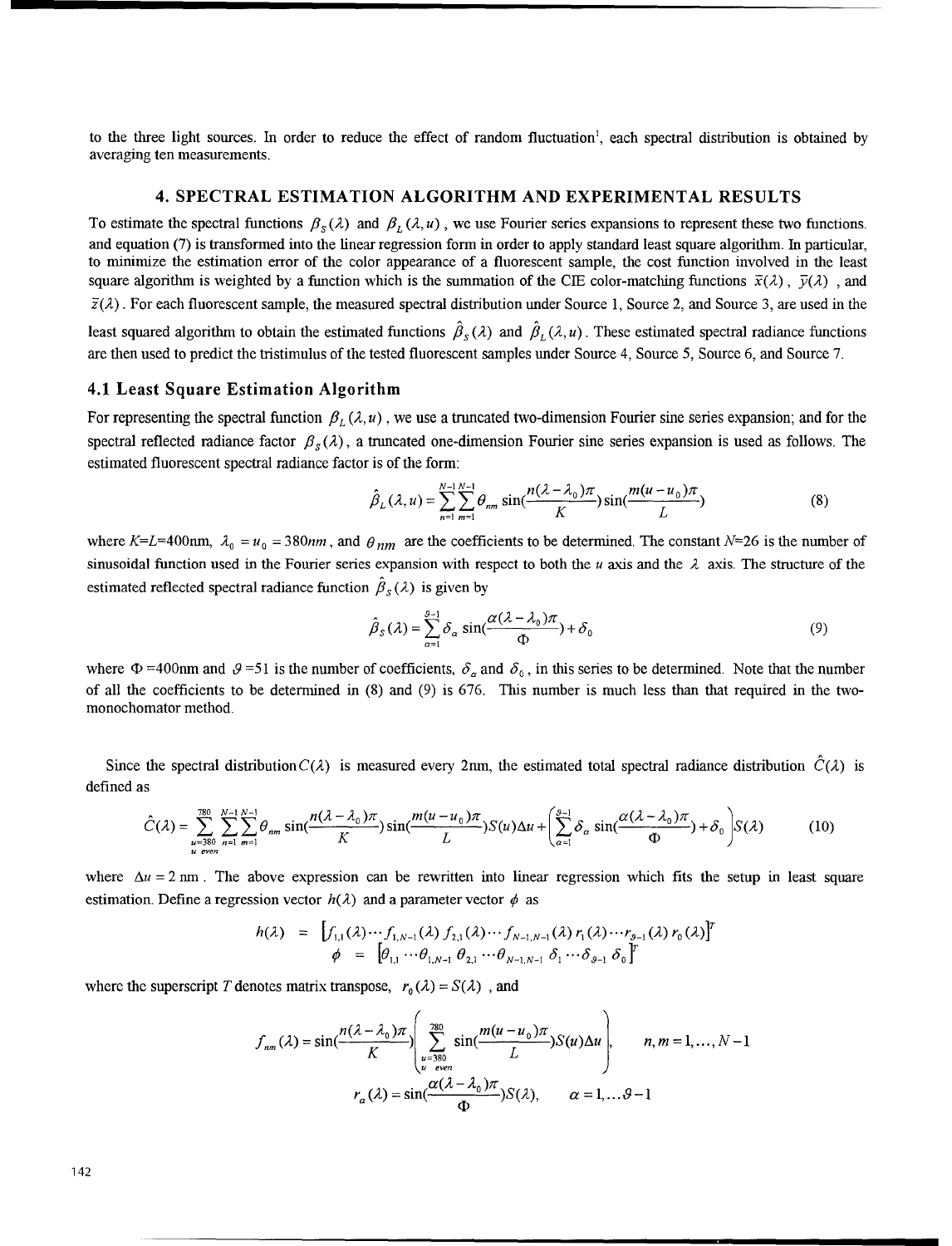to the three light sources. In order to reduce the effect of random fluctuation', each spectral distribution is obtained by averaging ten measurements.

## 4. SPECTRAL **ESTIMATION** ALGORITHM **AND** EXPERIMENTAL **RESULTS**

To estimate the spectral functions  $\beta_s(\lambda)$  and  $\beta_t(\lambda, u)$ , we use Fourier series expansions to represent these two functions. and equation (7) is transformed into the linear regression form in order to apply standard least square algorithm. In particular, to minimize the estimation error of the color appearance of a fluorescent sample, the cost function involved in the least square algorithm is weighted by a function which is the summation of the CIE color-matching functions  $\bar{x}(\lambda)$ ,  $\bar{y}(\lambda)$ , and  $\bar{z}(\lambda)$ . For each fluorescent sample, the measured spectral distribution under Source 1, Source 2, and Source 3, are used in the

least squared algorithm to obtain the estimated functions  $\hat{\beta}_s(\lambda)$  and  $\hat{\beta}_t(\lambda, u)$ . These estimated spectral radiance functions are then used to predict the tristimulus of the tested fluorescent samples under Source 4, Source 5, Source 6, and Source 7.

#### 4.1 Least Square Estimation Algorithm

For representing the spectral function  $\beta_L(\lambda, u)$ , we use a truncated two-dimension Fourier sine series expansion; and for the spectral reflected radiance factor  $\beta_s(\lambda)$ , a truncated one-dimension Fourier sine series expansion is used as follows. The estimated fluorescent spectral radiance factor is of the form:

$$
\hat{\beta}_L(\lambda, u) = \sum_{n=1}^{N-1} \sum_{m=1}^{N-1} \theta_{nm} \sin(\frac{n(\lambda - \lambda_0)\pi}{K}) \sin(\frac{m(u - u_0)\pi}{L})
$$
(8)

where K=L=400nm,  $\lambda_0 = u_0 = 380$ nm, and  $\theta_{nm}$  are the coefficients to be determined. The constant N=26 is the number of sinusoidal function used in the Fourier series expansion with respect to both the u axis and the  $\lambda$  axis. The structure of the estimated reflected spectral radiance function  $\hat{\beta}_s(\lambda)$  is given by

$$
\hat{\beta}_S(\lambda) = \sum_{\alpha=1}^{9-1} \delta_\alpha \sin(\frac{\alpha(\lambda - \lambda_0)\pi}{\Phi}) + \delta_0 \tag{9}
$$

where  $\Phi$  =400nm and  $\theta$  =51 is the number of coefficients,  $\delta_{\alpha}$  and  $\delta_0$ , in this series to be determined. Note that the number of all the coefficients to be determined in (8) and (9) is 676. This number is much less than that required in the twomonochomator method.

Since the spectral distribution  $C(\lambda)$  is measured every 2nm, the estimated total spectral radiance distribution  $\hat{C}(\lambda)$  is defined as

$$
\hat{C}(\lambda) = \sum_{\substack{u=380 \ u \text{ even}}}^{380} \sum_{n=1}^{N-1} \sum_{m=1}^{N-1} \theta_{nm} \sin(\frac{n(\lambda - \lambda_0)\pi}{K}) \sin(\frac{m(u - u_0)\pi}{L}) S(u) \Delta u + \left(\sum_{\alpha=1}^{9-1} \delta_{\alpha} \sin(\frac{\alpha(\lambda - \lambda_0)\pi}{\Phi}) + \delta_0 \right) S(\lambda)
$$
(10)

where  $\Delta u = 2$  nm. The above expression can be rewritten into linear regression which fits the setup in least square estimation. Define a regression vector  $h(\lambda)$  and a parameter vector  $\phi$  as

$$
h(\lambda) = [f_{1,1}(\lambda) \cdots f_{1,N-1}(\lambda) f_{2,1}(\lambda) \cdots f_{N-1,N-1}(\lambda) r_1(\lambda) \cdots r_{g-1}(\lambda) r_0(\lambda)]^T
$$
  

$$
\phi = [\theta_{1,1} \cdots \theta_{1,N-1} \theta_{2,1} \cdots \theta_{N-1,N-1} \delta_1 \cdots \delta_{g-1} \delta_0]^T
$$

where the superscript T denotes matrix transpose,  $r_0(\lambda) = S(\lambda)$ , and

$$
f_{nm}(\lambda) = \sin\left(\frac{n(\lambda - \lambda_0)\pi}{K}\right) \left( \sum_{\substack{u = 380 \\ u \text{ even}}}^{780} \sin\left(\frac{m(u - u_0)\pi}{L}\right) S(u) \Delta u \right), \qquad n, m = 1, ..., N - 1
$$

$$
r_{\alpha}(\lambda) = \sin\left(\frac{\alpha(\lambda - \lambda_0)\pi}{\Phi}\right) S(\lambda), \qquad \alpha = 1, ..., \theta - 1
$$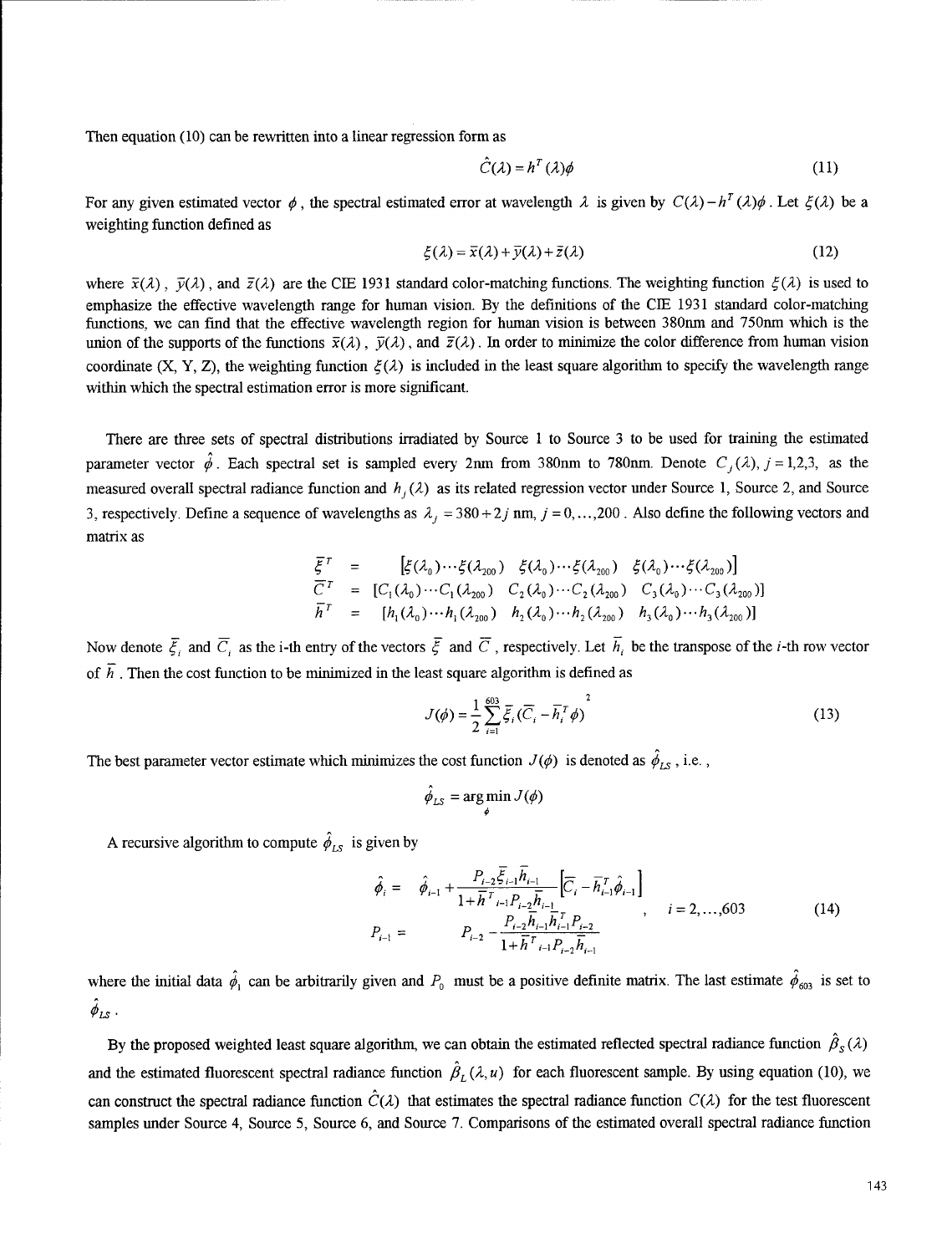Then equation (10) can be rewritten into a linear regression form as

$$
\hat{C}(\lambda) = h^T(\lambda)\phi
$$
 (11)

For any given estimated vector  $\phi$ , the spectral estimated error at wavelength  $\lambda$  is given by  $C(\lambda) - h^T(\lambda)\phi$ . Let  $\xi(\lambda)$  be a weighting function defined as

$$
\xi(\lambda) = \overline{x}(\lambda) + \overline{y}(\lambda) + \overline{z}(\lambda)
$$
\n(12)

where  $\bar{x}(\lambda)$ ,  $\bar{y}(\lambda)$ , and  $\bar{z}(\lambda)$  are the CIE 1931 standard color-matching functions. The weighting function  $\xi(\lambda)$  is used to emphasize the effective wavelength range for human vision. By the definitions of the **CIE** 1931 standard color-matching functions, we can find that the effective wavelength region for human vision is between 380nm and *750nm* which is the union of the supports of the functions  $\bar{x}(\lambda)$ ,  $\bar{y}(\lambda)$ , and  $\bar{z}(\lambda)$ . In order to minimize the color difference from human vision coordinate (X, Y, Z), the weighting function  $\xi(\lambda)$  is included in the least square algorithm to specify the wavelength range within which the spectral estimation error is more significant.

There are three sets of spectral distributions irradiated by Source 1 to Source 3 to be used for training the estimated parameter vector  $\hat{\phi}$ . Each spectral set is sampled every 2nm from 380nm to 780nm. Denote  $C_i(\lambda)$ ,  $j = 1,2,3$ , as the measured overall spectral radiance function and  $h_i(\lambda)$  as its related regression vector under Source 1, Source 2, and Source 3, respectively. Define a sequence of wavelengths as  $\lambda_i = 380 + 2j$  nm,  $j = 0, \ldots, 200$ . Also define the following vectors and matrix as

$$
\overline{\xi}^T = \left[ \xi(\lambda_0) \cdots \xi(\lambda_{200}) \xi(\lambda_0) \cdots \xi(\lambda_{200}) \xi(\lambda_0) \cdots \xi(\lambda_{200}) \right]
$$
\n
$$
\overline{C}^T = \left[ C_1(\lambda_0) \cdots C_1(\lambda_{200}) \ C_2(\lambda_0) \cdots C_2(\lambda_{200}) \ C_3(\lambda_0) \cdots C_3(\lambda_{200}) \right]
$$
\n
$$
\overline{h}^T = \left[ h_1(\lambda_0) \cdots h_1(\lambda_{200}) \ h_2(\lambda_0) \cdots h_2(\lambda_{200}) \ h_3(\lambda_0) \cdots h_3(\lambda_{200}) \right]
$$

Now denote  $\bar{\xi}_i$  and  $\bar{C}_i$  as the i-th entry of the vectors  $\bar{\xi}$  and  $\bar{C}$ , respectively. Let  $\bar{h}_i$  be the transpose of the *i*-th row vector of  $\overline{h}$ . Then the cost function to be minimized in the least square algorithm is defined as

$$
J(\phi) = \frac{1}{2} \sum_{i=1}^{603} \overline{\xi}_i (\overline{C}_i - \overline{h}_i^T \phi)^2
$$
 (13)

The best parameter vector estimate which minimizes the cost function  $J(\phi)$  is denoted as  $\hat{\phi}_{LS}$ , i.e.,

$$
\hat{\phi}_{LS} = \argmin_{\phi} J(\phi)
$$

A recursive algorithm to compute  $\hat{\phi}_{LS}$  is given by

$$
\hat{\phi}_{i} = \hat{\phi}_{i-1} + \frac{P_{i-2} \overline{\xi}_{i-1} \overline{h}_{i-1}}{1 + \overline{h}^{T} \overline{h}_{i-1} P_{i-2} \overline{h}_{i-1}} \left[ \overline{C}_{i} - \overline{h}_{i-1}^{T} \hat{\phi}_{i-1} \right]
$$
\n
$$
P_{i-1} = P_{i-2} - \frac{P_{i-2} \overline{h}_{i-1} \overline{h}_{i-1}^{T} P_{i-2}}{1 + \overline{h}^{T} \overline{h}_{i-1} P_{i-2} \overline{h}_{i-1}} , \qquad i = 2, ..., 603
$$
\n(14)

where the initial data  $\hat{\phi}_1$  can be arbitrarily given and  $P_0$  must be a positive definite matrix. The last estimate  $\hat{\phi}_{603}$  is set to  $\ddot{\phi}_{LS}$ .

By the proposed weighted least square algorithm, we can obtain the estimated reflected spectral radiance function  $\hat{\beta}_s(\lambda)$ and the estimated fluorescent spectral radiance function  $\hat{\beta}_L(\lambda, u)$  for each fluorescent sample. By using equation (10), we can construct the spectral radiance function  $\hat{C}(\lambda)$  that estimates the spectral radiance function  $C(\lambda)$  for the test fluorescent samples under Source 4, Source 5, Source 6, and Source 7. Comparisons of the estimated overall spectral radiance function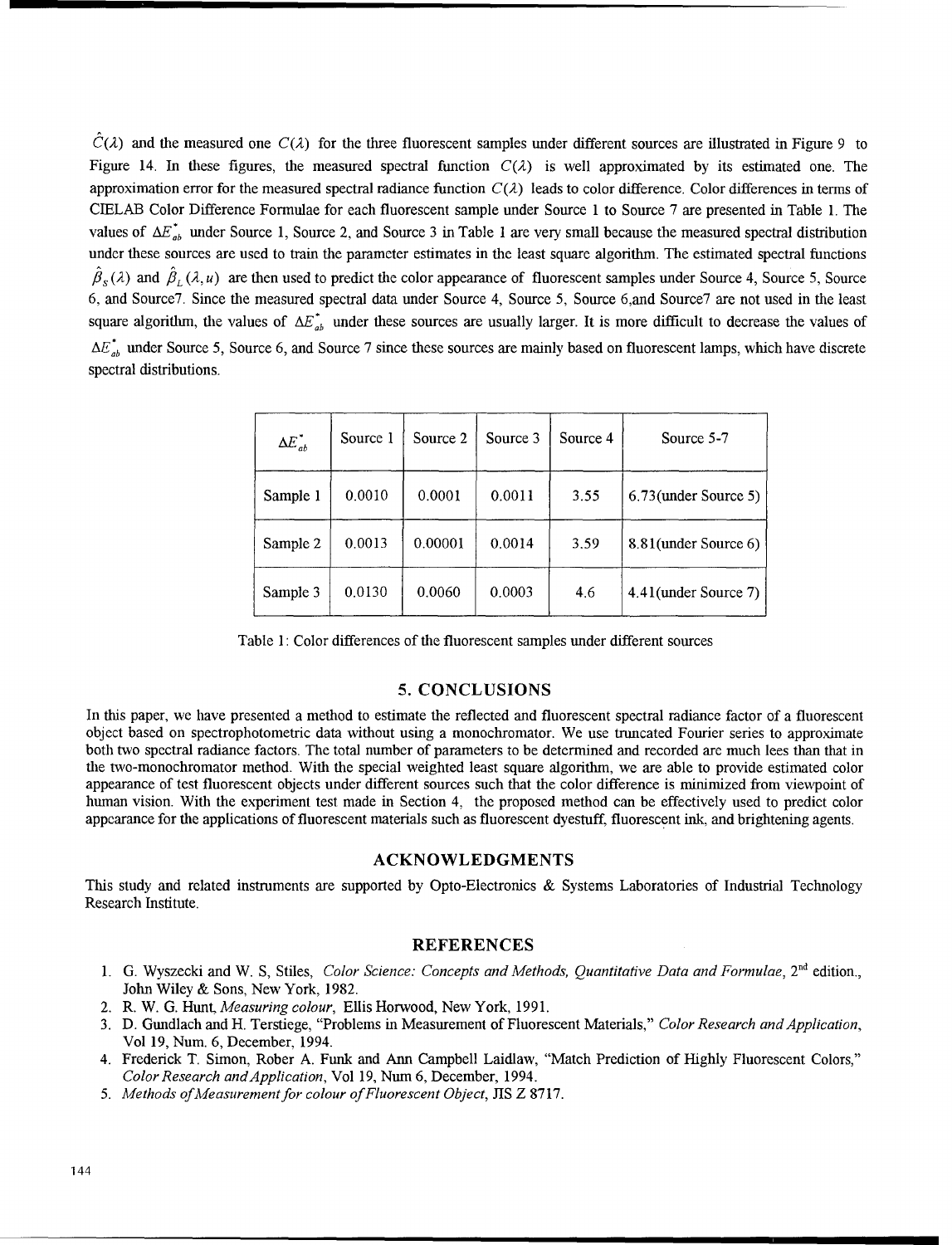$\hat{C}(\lambda)$  and the measured one  $C(\lambda)$  for the three fluorescent samples under different sources are illustrated in Figure 9 to Figure 14. In these figures, the measured spectral function  $C(\lambda)$  is well approximated by its estimated one. The approximation error for the measured spectral radiance function  $C(\lambda)$  leads to color difference. Color differences in terms of CIELAB Color Difference Formulae for each fluorescent sample under Source 1 to Source 7 are presented in Table 1. The values of  $\Delta E_{ab}^*$  under Source 1, Source 2, and Source 3 in Table 1 are very small because the measured spectral distribution under these sources are used to train the parameter estimates in the least square algorithm. The estimated spectral functions  $\hat{\beta}_{s}(\lambda)$  and  $\hat{\beta}_{t}(\lambda, u)$  are then used to predict the color appearance of fluorescent samples under Source 4, Source 5, Source 6, and Source7. Since the measured spectral data under Source 4, Source 5, Source 6,and Source7 are not used in the least square algorithm, the values of  $\Delta E_{ab}^*$  under these sources are usually larger. It is more difficult to decrease the values of  $\Delta E_{ab}^*$  under Source 5, Source 6, and Source 7 since these sources are mainly based on fluorescent lamps, which have discrete spectral distributions.

| $\Delta E_{ab}^*$ | Source 1 | Source 2 | Source 3 | Source 4 | Source 5-7              |
|-------------------|----------|----------|----------|----------|-------------------------|
| Sample 1          | 0.0010   | 0.0001   | 0.0011   | 3.55     | $6.73$ (under Source 5) |
| Sample 2          | 0.0013   | 0.00001  | 0.0014   | 3.59     | 8.81(under Source 6)    |
| Sample 3          | 0.0130   | 0.0060   | 0.0003   | 4.6      | 4.41(under Source 7)    |

Table **1:** Color differences of the fluorescent samples under different sources

## **5. CONCLUSIONS**

In this paper, we have presented a method to estimate the reflected and fluorescent spectral radiance factor of a fluorescent object based on spectrophotometric data without using a monochromator. We use truncated Fourier series to approximate both two spectral radiance factors. The total number of parameters to be determined and recorded are much lees than that in the two-monochromator method. With the special weighted least square algorithm, we are able to provide estimated color appearance of test fluorescent objects under different sources such that the color difference is minimized from viewpoint of human vision. With the experiment test made in Section 4, the proposed method can be effectively used to predict color appearance for the applications of fluorescent materials such as fluorescent dyestuff, fluorescent ink, and brightening agents.

#### **ACKNOWLEDGMENTS**

This study and related instruments are supported by Opto-Electronics & Systems Laboratories of Industrial Technology Research Institute.

### **REFERENCES**

- 1. G. Wyszecki and W. **S,** Stiles, *Color Science: Concepts and Methods, Quantitative Data and Formulae,* 2nd edition., John Wiley & Sons, New York, 1982.
- 2. R. W. G. Hunt, *Measuring colour,* Ellis Horwood, New York, 1991.
- 3. D. Gundlach and H. Terstiege, "Problems in Measurement of Fluorescent Materials," *Color Research and Application,* Vol 19, Num. 6, December, 1994.
- 4. Frederick T. Simon, Rober A. Funk and Ann Campbell Laidlaw, "Match Prediction of Highly Fluorescent Colors," *Color Research andApplication,* Vol 19, Num 6, December, 1994.
- 5. *Methods of Measurement for colour of Fluorescent Object,* JIS Z 8717.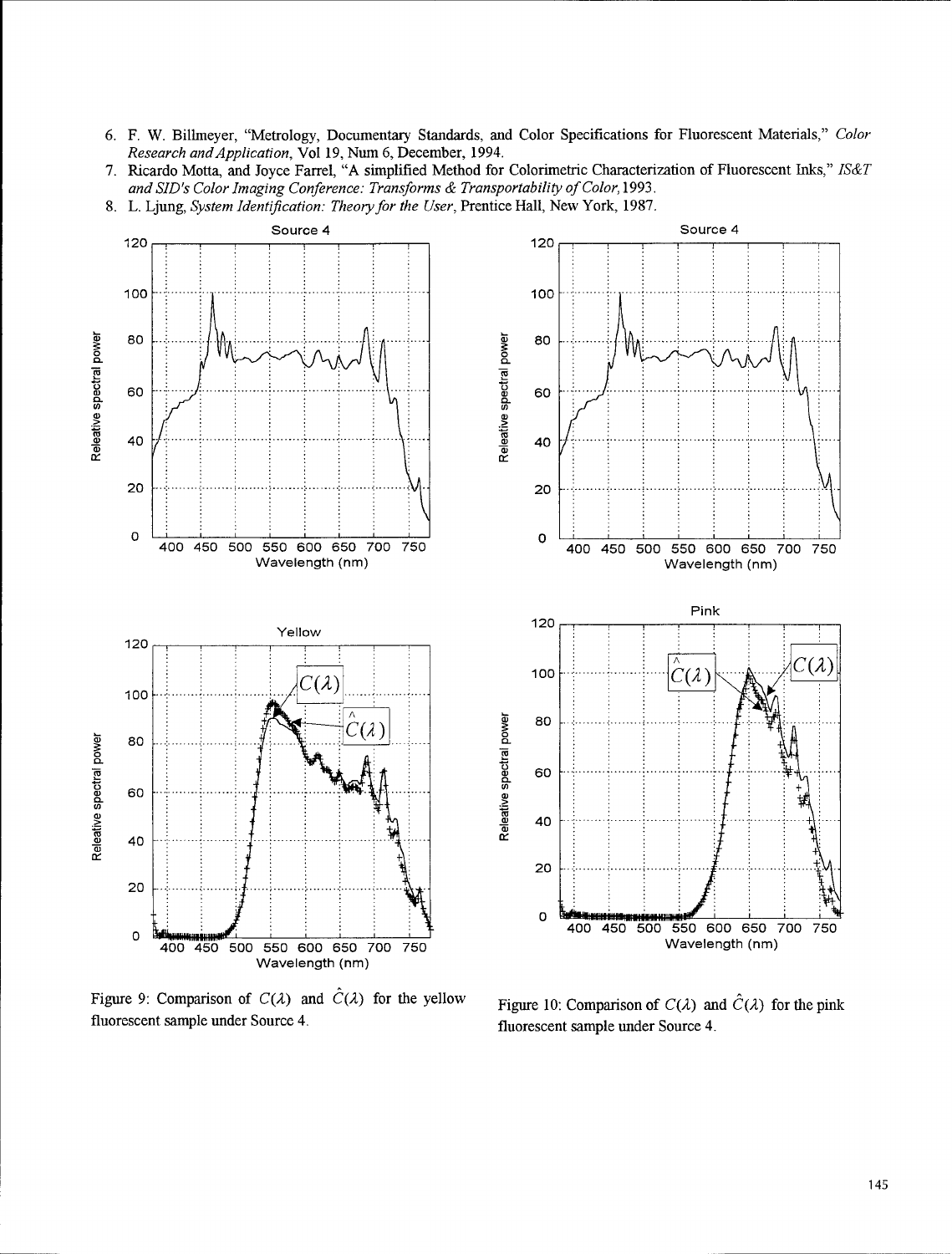- 6. F. W. Billmeyer, "Metrology, Documentary Standards, and Color Specifications for Fluorescent Materials," Color Research and Application, Vol 19, Num 6, December, 1994.
- 7. Ricardo Motta, and Joyce Farrel, "A simplified Method for Colorimetric Characterization of Fluorescent Inks," IS&T and SID's Color Imaging Conference: Transforms & Transportability of Color, 1993.
- 8. L. Ljung, System Identification: Theory for the User, Prentice Hall, New York, 1987.



Figure 9: Comparison of  $C(\lambda)$  and  $\hat{C}(\lambda)$  for the yellow fluorescent sample under Source 4.

Figure 10: Comparison of  $C(\lambda)$  and  $\hat{C}(\lambda)$  for the pink fluorescent sample under Source 4.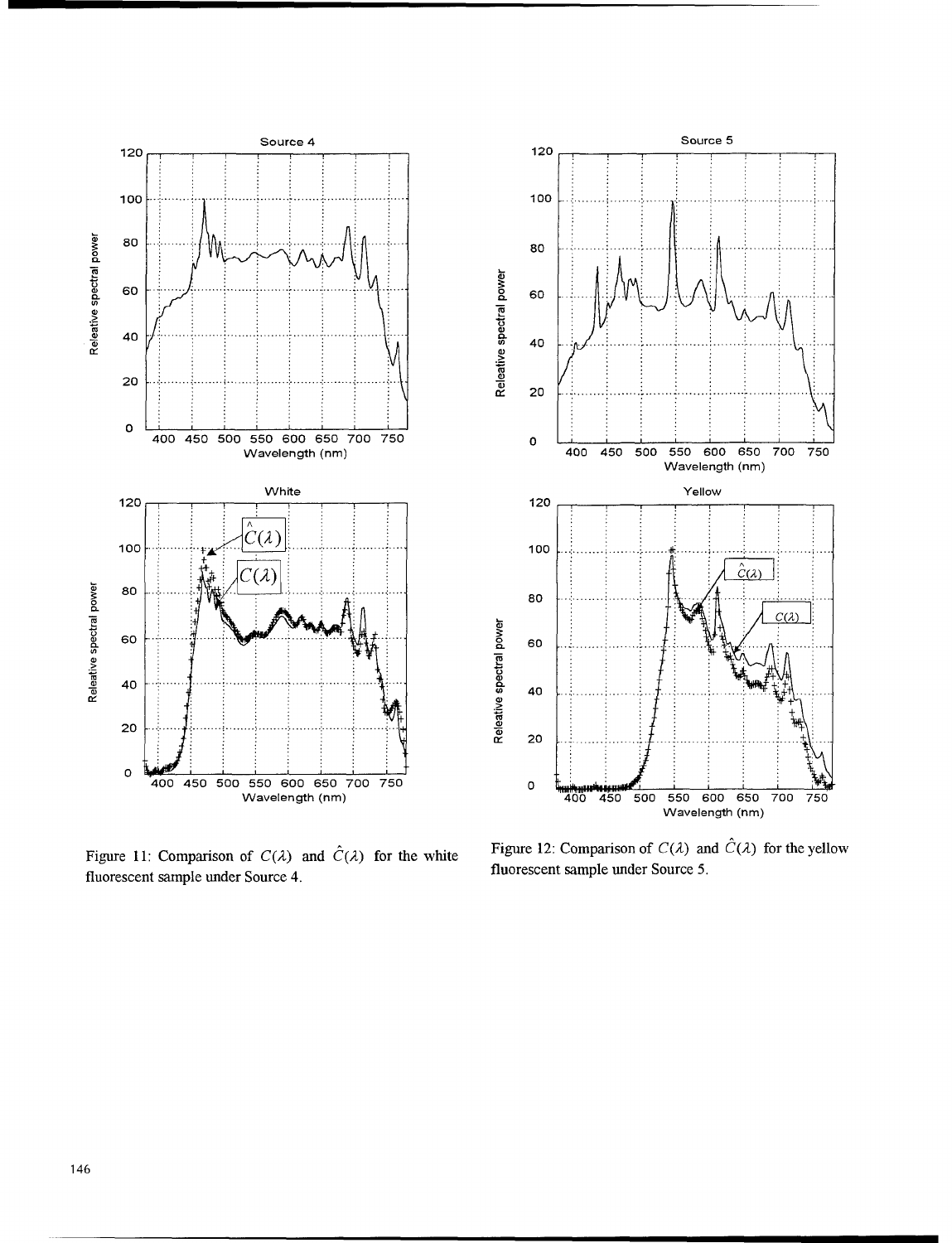

Figure 11: Comparison of  $C(\lambda)$  and  $\hat{C}(\lambda)$  for the white fluorescent sample under Source 4.

Figure 12: Comparison of  $C(\lambda)$  and  $\hat{C}(\lambda)$  for the yellow fluorescent sample under Source 5.